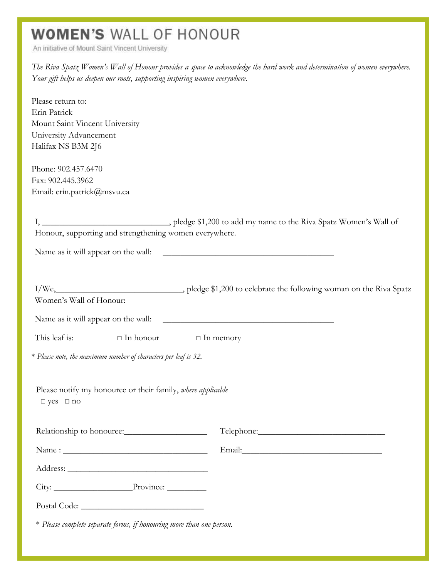## **WOMEN'S WALL OF HONOUR**

An initiative of Mount Saint Vincent University

*The Riva Spatz Women's Wall of Honour provides a space to acknowledge the hard work and determination of women everywhere. Your gift helps us deepen our roots, supporting inspiring women everywhere.*

Please return to: Erin Patrick Mount Saint Vincent University University Advancement Halifax NS B3M 2J6

Phone: 902.457.6470 Fax: 902.445.3962 Email: erin.patrick@msvu.ca

| Honour, supporting and strengthening women everywhere.                                                          |                  |                                     |
|-----------------------------------------------------------------------------------------------------------------|------------------|-------------------------------------|
|                                                                                                                 |                  |                                     |
|                                                                                                                 |                  |                                     |
|                                                                                                                 |                  |                                     |
| Women's Wall of Honour:                                                                                         |                  |                                     |
|                                                                                                                 |                  | Name as it will appear on the wall: |
| This leaf is:                                                                                                   | $\Box$ In honour | $\Box$ In memory                    |
| * Please note, the maximum number of characters per leaf is 32.                                                 |                  |                                     |
| Please notify my honouree or their family, where applicable<br>$\Box$ yes $\Box$ no                             |                  |                                     |
| Relationship to honouree:                                                                                       |                  |                                     |
|                                                                                                                 |                  |                                     |
|                                                                                                                 |                  |                                     |
|                                                                                                                 |                  |                                     |
| Postal Code: Note: Note: Note: Note: Note: Note: Note: Note: Note: Note: Note: Note: Note: Note: Note: Note: No |                  |                                     |
| * Please complete separate forms, if honouring more than one person.                                            |                  |                                     |